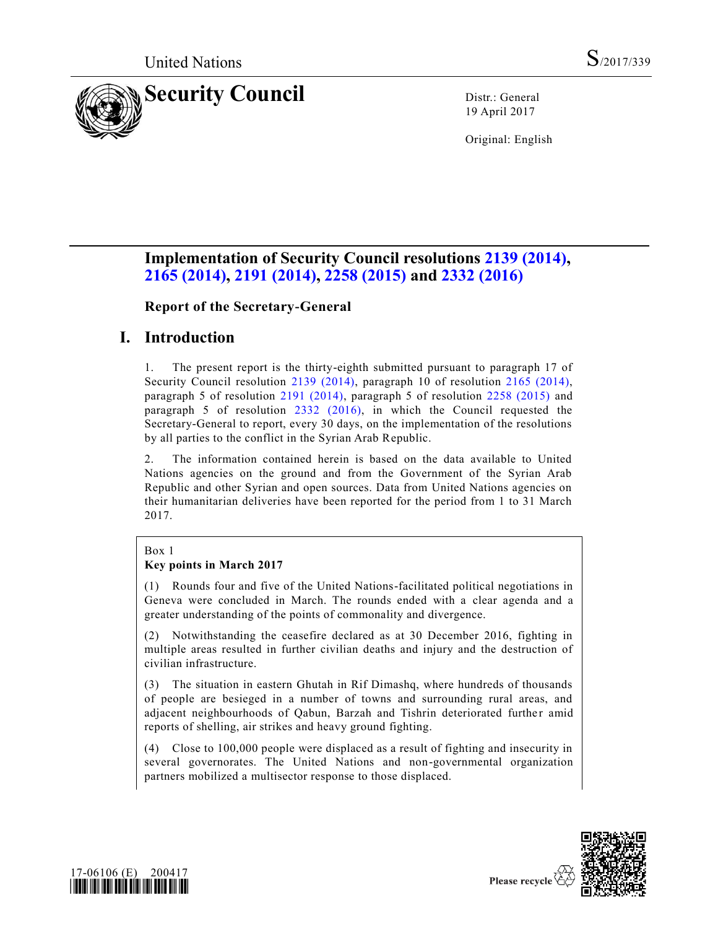

19 April 2017

Original: English

# **Implementation of Security Council resolutions [2139 \(2014\),](http://undocs.org/S/RES/2139(2014)) [2165 \(2014\),](http://undocs.org/S/RES/2165(2014)) [2191 \(2014\),](http://undocs.org/S/RES/2191(2014)) [2258 \(2015\)](http://undocs.org/S/RES/2258(2015)) and [2332 \(2016\)](http://undocs.org/S/RES/2332(2016))**

**Report of the Secretary-General** 

## **I. Introduction**

1. The present report is the thirty-eighth submitted pursuant to paragraph 17 of Security Council resolution [2139 \(2014\),](http://undocs.org/S/RES/2139(2014)) paragraph 10 of resolution [2165 \(2014\),](http://undocs.org/S/RES/2165(2014)) paragraph 5 of resolution [2191 \(2014\),](http://undocs.org/S/RES/2191(2014)) paragraph 5 of resolution [2258 \(2015\)](http://undocs.org/S/RES/2258(2015)) and paragraph 5 of resolution [2332 \(2016\),](http://undocs.org/S/RES/2332(2016)) in which the Council requested the Secretary-General to report, every 30 days, on the implementation of the resolutions by all parties to the conflict in the Syrian Arab Republic.

2. The information contained herein is based on the data available to United Nations agencies on the ground and from the Government of the Syrian Arab Republic and other Syrian and open sources. Data from United Nations agencies on their humanitarian deliveries have been reported for the period from 1 to 31 March 2017.

## Box 1

## **Key points in March 2017**

(1) Rounds four and five of the United Nations-facilitated political negotiations in Geneva were concluded in March. The rounds ended with a clear agenda and a greater understanding of the points of commonality and divergence.

(2) Notwithstanding the ceasefire declared as at 30 December 2016, fighting in multiple areas resulted in further civilian deaths and injury and the destruction of civilian infrastructure.

(3) The situation in eastern Ghutah in Rif Dimashq, where hundreds of thousands of people are besieged in a number of towns and surrounding rural areas, and adjacent neighbourhoods of Qabun, Barzah and Tishrin deteriorated further amid reports of shelling, air strikes and heavy ground fighting.

(4) Close to 100,000 people were displaced as a result of fighting and insecurity in several governorates. The United Nations and non-governmental organization partners mobilized a multisector response to those displaced.



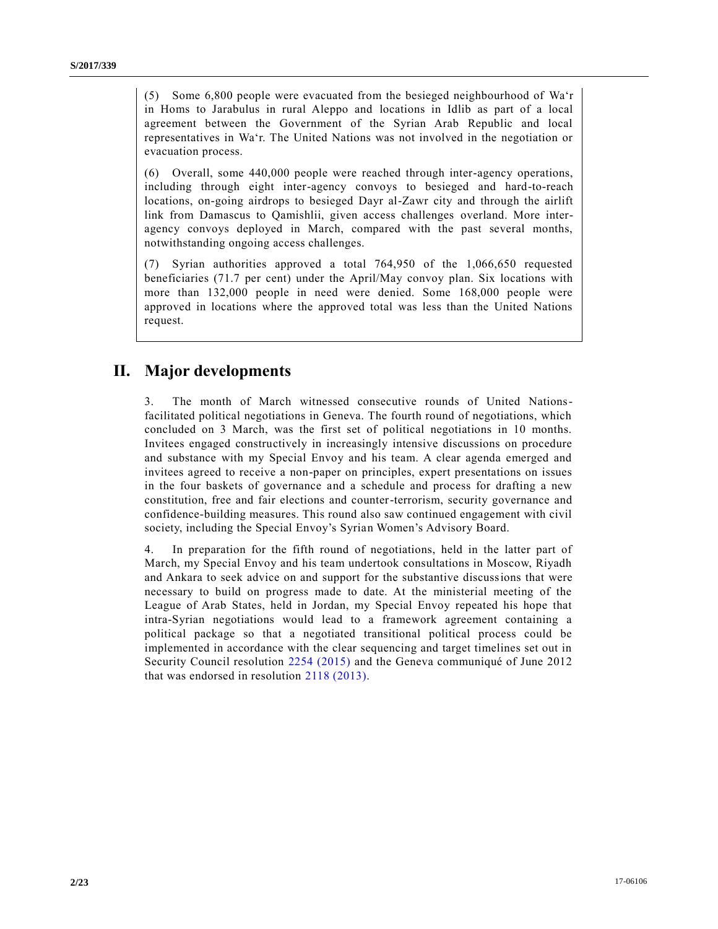(5) Some 6,800 people were evacuated from the besieged neighbourhood of Wa'r in Homs to Jarabulus in rural Aleppo and locations in Idlib as part of a local agreement between the Government of the Syrian Arab Republic and local representatives in Wa'r. The United Nations was not involved in the negotiation or evacuation process.

(6) Overall, some 440,000 people were reached through inter-agency operations, including through eight inter-agency convoys to besieged and hard-to-reach locations, on-going airdrops to besieged Dayr al-Zawr city and through the airlift link from Damascus to Qamishlii, given access challenges overland. More interagency convoys deployed in March, compared with the past several months, notwithstanding ongoing access challenges.

(7) Syrian authorities approved a total 764,950 of the 1,066,650 requested beneficiaries (71.7 per cent) under the April/May convoy plan. Six locations with more than 132,000 people in need were denied. Some 168,000 people were approved in locations where the approved total was less than the United Nations request.

## **II. Major developments**

3. The month of March witnessed consecutive rounds of United Nationsfacilitated political negotiations in Geneva. The fourth round of negotiations, which concluded on 3 March, was the first set of political negotiations in 10 months. Invitees engaged constructively in increasingly intensive discussions on procedure and substance with my Special Envoy and his team. A clear agenda emerged and invitees agreed to receive a non-paper on principles, expert presentations on issues in the four baskets of governance and a schedule and process for drafting a new constitution, free and fair elections and counter-terrorism, security governance and confidence-building measures. This round also saw continued engagement with civil society, including the Special Envoy's Syrian Women's Advisory Board.

4. In preparation for the fifth round of negotiations, held in the latter part of March, my Special Envoy and his team undertook consultations in Moscow, Riyadh and Ankara to seek advice on and support for the substantive discussions that were necessary to build on progress made to date. At the ministerial meeting of the League of Arab States, held in Jordan, my Special Envoy repeated his hope that intra-Syrian negotiations would lead to a framework agreement containing a political package so that a negotiated transitional political process could be implemented in accordance with the clear sequencing and target timelines set out in Security Council resolution [2254 \(2015\)](http://undocs.org/S/RES/2254(2015)) and the Geneva communiqué of June 2012 that was endorsed in resolution [2118 \(2013\).](http://undocs.org/S/RES/2118(2013))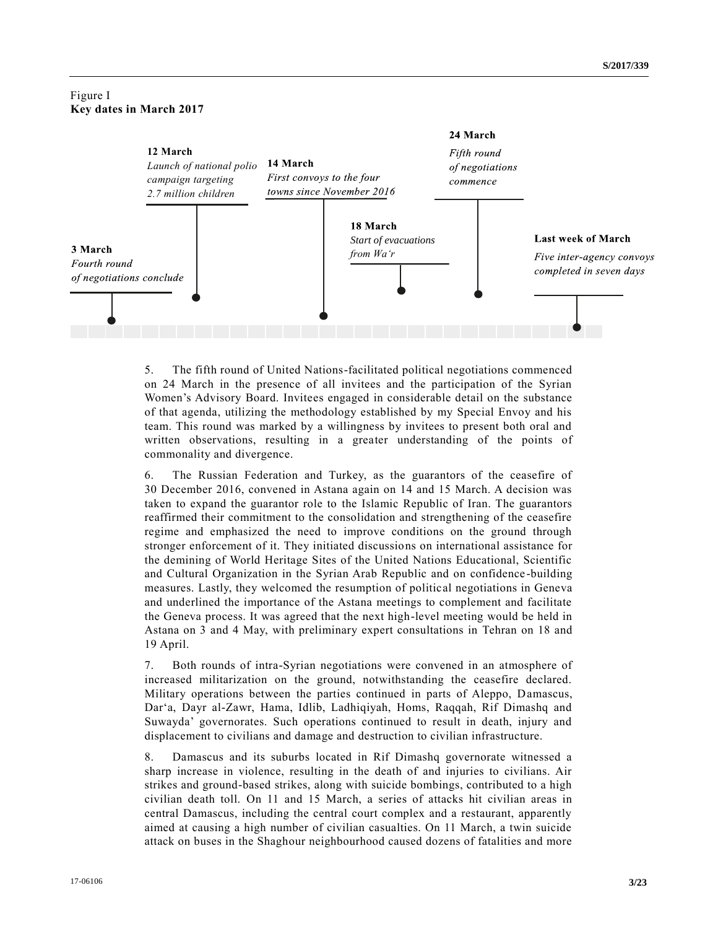## Figure I **Key dates in March 2017**



5. The fifth round of United Nations-facilitated political negotiations commenced on 24 March in the presence of all invitees and the participation of the Syrian Women's Advisory Board. Invitees engaged in considerable detail on the substance of that agenda, utilizing the methodology established by my Special Envoy and his team. This round was marked by a willingness by invitees to present both oral and written observations, resulting in a greater understanding of the points of commonality and divergence.

6. The Russian Federation and Turkey, as the guarantors of the ceasefire of 30 December 2016, convened in Astana again on 14 and 15 March. A decision was taken to expand the guarantor role to the Islamic Republic of Iran. The guarantors reaffirmed their commitment to the consolidation and strengthening of the ceasefire regime and emphasized the need to improve conditions on the ground through stronger enforcement of it. They initiated discussions on international assistance for the demining of World Heritage Sites of the United Nations Educational, Scientific and Cultural Organization in the Syrian Arab Republic and on confidence -building measures. Lastly, they welcomed the resumption of political negotiations in Geneva and underlined the importance of the Astana meetings to complement and facilitate the Geneva process. It was agreed that the next high-level meeting would be held in Astana on 3 and 4 May, with preliminary expert consultations in Tehran on 18 and 19 April.

7. Both rounds of intra-Syrian negotiations were convened in an atmosphere of increased militarization on the ground, notwithstanding the ceasefire declared. Military operations between the parties continued in parts of Aleppo, Damascus, Dar'a, Dayr al-Zawr, Hama, Idlib, Ladhiqiyah, Homs, Raqqah, Rif Dimashq and Suwayda' governorates. Such operations continued to result in death, injury and displacement to civilians and damage and destruction to civilian infrastructure.

8. Damascus and its suburbs located in Rif Dimashq governorate witnessed a sharp increase in violence, resulting in the death of and injuries to civilians. Air strikes and ground-based strikes, along with suicide bombings, contributed to a high civilian death toll. On 11 and 15 March, a series of attacks hit civilian areas in central Damascus, including the central court complex and a restaurant, apparently aimed at causing a high number of civilian casualties. On 11 March, a twin suicide attack on buses in the Shaghour neighbourhood caused dozens of fatalities and more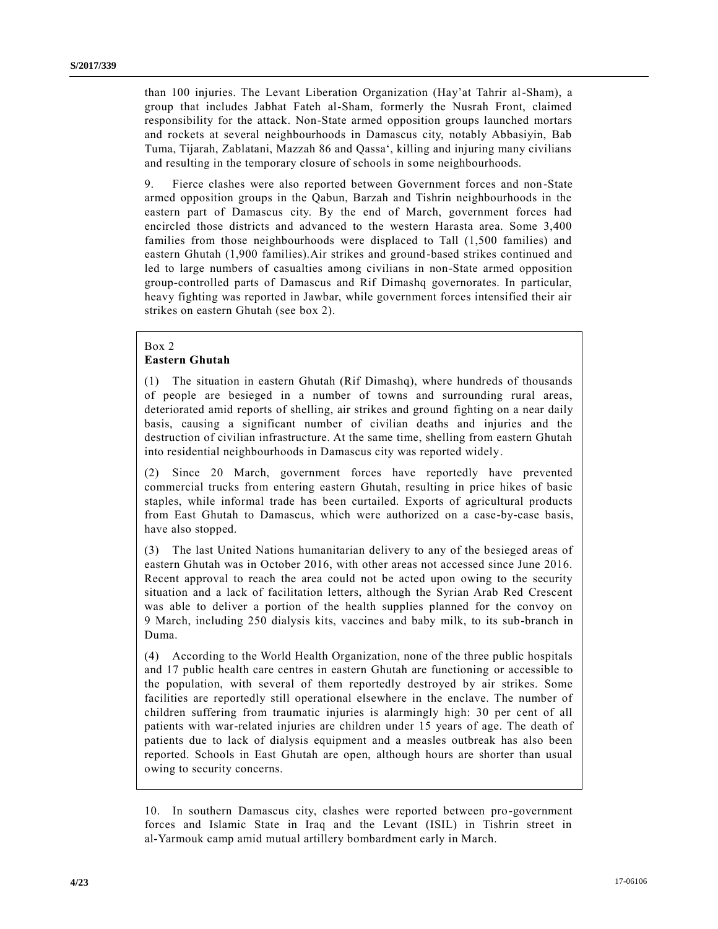than 100 injuries. The Levant Liberation Organization (Hay'at Tahrir al-Sham), a group that includes Jabhat Fateh al-Sham, formerly the Nusrah Front, claimed responsibility for the attack. Non-State armed opposition groups launched mortars and rockets at several neighbourhoods in Damascus city, notably Abbasiyin, Bab Tuma, Tijarah, Zablatani, Mazzah 86 and Qassa', killing and injuring many civilians and resulting in the temporary closure of schools in some neighbourhoods.

9. Fierce clashes were also reported between Government forces and non-State armed opposition groups in the Qabun, Barzah and Tishrin neighbourhoods in the eastern part of Damascus city. By the end of March, government forces had encircled those districts and advanced to the western Harasta area. Some 3,400 families from those neighbourhoods were displaced to Tall (1,500 families) and eastern Ghutah (1,900 families).Air strikes and ground-based strikes continued and led to large numbers of casualties among civilians in non-State armed opposition group-controlled parts of Damascus and Rif Dimashq governorates. In particular, heavy fighting was reported in Jawbar, while government forces intensified their air strikes on eastern Ghutah (see box 2).

#### Box 2

### **Eastern Ghutah**

(1) The situation in eastern Ghutah (Rif Dimashq), where hundreds of thousands of people are besieged in a number of towns and surrounding rural areas, deteriorated amid reports of shelling, air strikes and ground fighting on a near daily basis, causing a significant number of civilian deaths and injuries and the destruction of civilian infrastructure. At the same time, shelling from eastern Ghutah into residential neighbourhoods in Damascus city was reported widely.

(2) Since 20 March, government forces have reportedly have prevented commercial trucks from entering eastern Ghutah, resulting in price hikes of basic staples, while informal trade has been curtailed. Exports of agricultural products from East Ghutah to Damascus, which were authorized on a case-by-case basis, have also stopped.

(3) The last United Nations humanitarian delivery to any of the besieged areas of eastern Ghutah was in October 2016, with other areas not accessed since June 2016. Recent approval to reach the area could not be acted upon owing to the security situation and a lack of facilitation letters, although the Syrian Arab Red Crescent was able to deliver a portion of the health supplies planned for the convoy on 9 March, including 250 dialysis kits, vaccines and baby milk, to its sub-branch in Duma.

(4) According to the World Health Organization, none of the three public hospitals and 17 public health care centres in eastern Ghutah are functioning or accessible to the population, with several of them reportedly destroyed by air strikes. Some facilities are reportedly still operational elsewhere in the enclave. The number of children suffering from traumatic injuries is alarmingly high: 30 per cent of all patients with war-related injuries are children under 15 years of age. The death of patients due to lack of dialysis equipment and a measles outbreak has also been reported. Schools in East Ghutah are open, although hours are shorter than usual owing to security concerns.

<sup>10.</sup> In southern Damascus city, clashes were reported between pro-government forces and Islamic State in Iraq and the Levant (ISIL) in Tishrin street in al-Yarmouk camp amid mutual artillery bombardment early in March.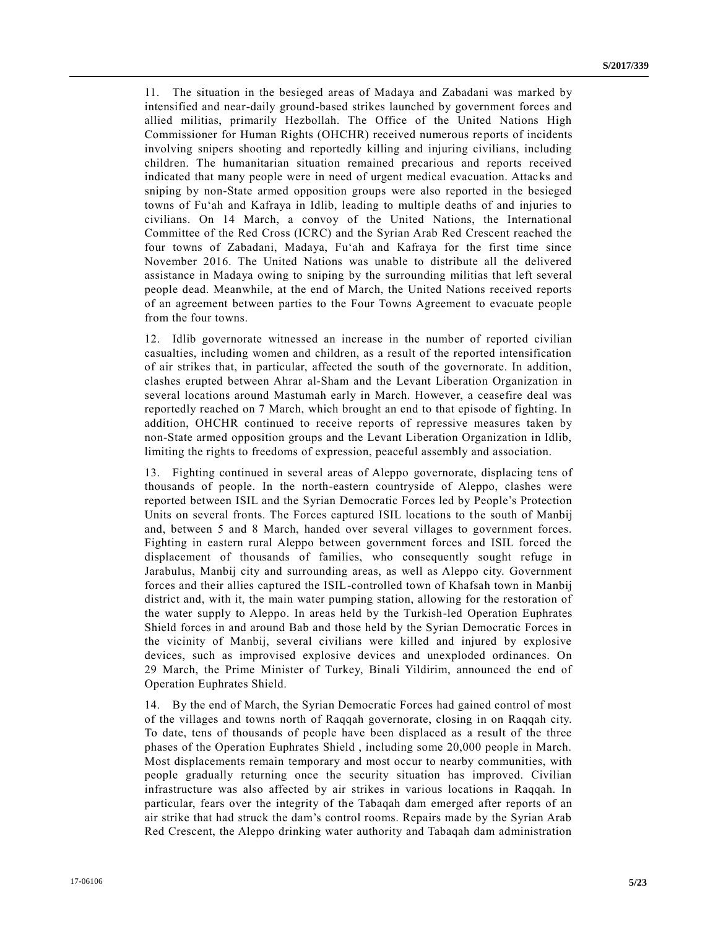11. The situation in the besieged areas of Madaya and Zabadani was marked by intensified and near-daily ground-based strikes launched by government forces and allied militias, primarily Hezbollah. The Office of the United Nations High Commissioner for Human Rights (OHCHR) received numerous reports of incidents involving snipers shooting and reportedly killing and injuring civilians, including children. The humanitarian situation remained precarious and reports received indicated that many people were in need of urgent medical evacuation. Attac ks and sniping by non-State armed opposition groups were also reported in the besieged towns of Fu'ah and Kafraya in Idlib, leading to multiple deaths of and injuries to civilians. On 14 March, a convoy of the United Nations, the International Committee of the Red Cross (ICRC) and the Syrian Arab Red Crescent reached the four towns of Zabadani, Madaya, Fu'ah and Kafraya for the first time since November 2016. The United Nations was unable to distribute all the delivered assistance in Madaya owing to sniping by the surrounding militias that left several people dead. Meanwhile, at the end of March, the United Nations received reports of an agreement between parties to the Four Towns Agreement to evacuate people from the four towns.

12. Idlib governorate witnessed an increase in the number of reported civilian casualties, including women and children, as a result of the reported intensification of air strikes that, in particular, affected the south of the governorate. In addition, clashes erupted between Ahrar al-Sham and the Levant Liberation Organization in several locations around Mastumah early in March. However, a ceasefire deal was reportedly reached on 7 March, which brought an end to that episode of fighting. In addition, OHCHR continued to receive reports of repressive measures taken by non-State armed opposition groups and the Levant Liberation Organization in Idlib, limiting the rights to freedoms of expression, peaceful assembly and association.

13. Fighting continued in several areas of Aleppo governorate, displacing tens of thousands of people. In the north-eastern countryside of Aleppo, clashes were reported between ISIL and the Syrian Democratic Forces led by People's Protection Units on several fronts. The Forces captured ISIL locations to the south of Manbij and, between 5 and 8 March, handed over several villages to government forces. Fighting in eastern rural Aleppo between government forces and ISIL forced the displacement of thousands of families, who consequently sought refuge in Jarabulus, Manbij city and surrounding areas, as well as Aleppo city. Government forces and their allies captured the ISIL-controlled town of Khafsah town in Manbij district and, with it, the main water pumping station, allowing for the restoration of the water supply to Aleppo. In areas held by the Turkish-led Operation Euphrates Shield forces in and around Bab and those held by the Syrian Democratic Forces in the vicinity of Manbij, several civilians were killed and injured by explosive devices, such as improvised explosive devices and unexploded ordinances. On 29 March, the Prime Minister of Turkey, Binali Yildirim, announced the end of Operation Euphrates Shield.

14. By the end of March, the Syrian Democratic Forces had gained control of most of the villages and towns north of Raqqah governorate, closing in on Raqqah city. To date, tens of thousands of people have been displaced as a result of the three phases of the Operation Euphrates Shield , including some 20,000 people in March. Most displacements remain temporary and most occur to nearby communities, with people gradually returning once the security situation has improved. Civilian infrastructure was also affected by air strikes in various locations in Raqqah. In particular, fears over the integrity of the Tabaqah dam emerged after reports of an air strike that had struck the dam's control rooms. Repairs made by the Syrian Arab Red Crescent, the Aleppo drinking water authority and Tabaqah dam administration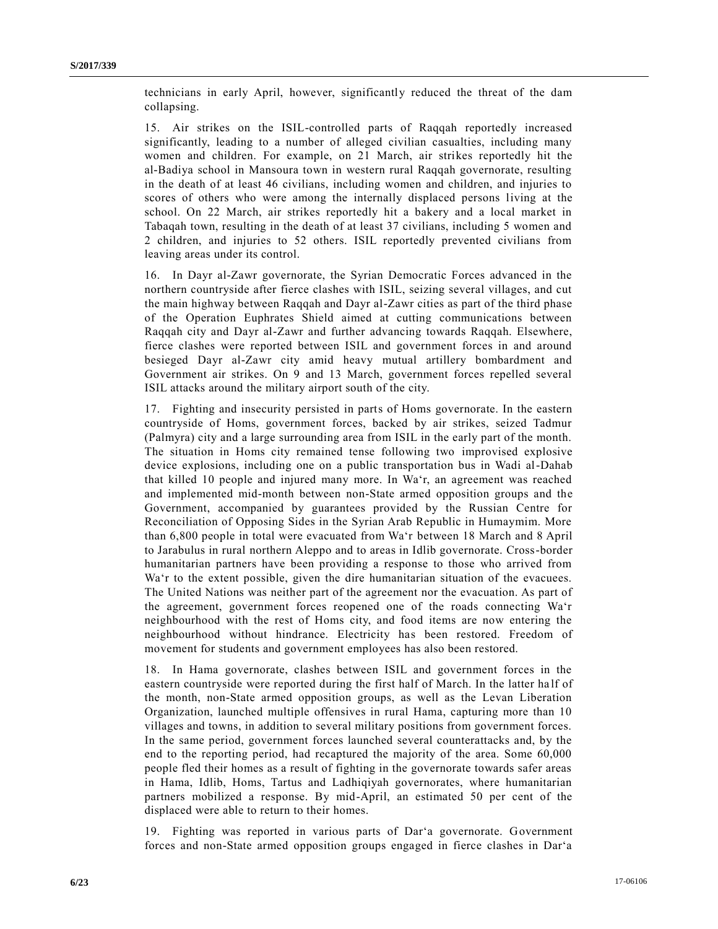technicians in early April, however, significantly reduced the threat of the dam collapsing.

15. Air strikes on the ISIL-controlled parts of Raqqah reportedly increased significantly, leading to a number of alleged civilian casualties, including many women and children. For example, on 21 March, air strikes reportedly hit the al-Badiya school in Mansoura town in western rural Raqqah governorate, resulting in the death of at least 46 civilians, including women and children, and injuries to scores of others who were among the internally displaced persons living at the school. On 22 March, air strikes reportedly hit a bakery and a local market in Tabaqah town, resulting in the death of at least 37 civilians, including 5 women and 2 children, and injuries to 52 others. ISIL reportedly prevented civilians from leaving areas under its control.

16. In Dayr al-Zawr governorate, the Syrian Democratic Forces advanced in the northern countryside after fierce clashes with ISIL, seizing several villages, and cut the main highway between Raqqah and Dayr al-Zawr cities as part of the third phase of the Operation Euphrates Shield aimed at cutting communications between Raqqah city and Dayr al-Zawr and further advancing towards Raqqah. Elsewhere, fierce clashes were reported between ISIL and government forces in and around besieged Dayr al-Zawr city amid heavy mutual artillery bombardment and Government air strikes. On 9 and 13 March, government forces repelled several ISIL attacks around the military airport south of the city.

17. Fighting and insecurity persisted in parts of Homs governorate. In the eastern countryside of Homs, government forces, backed by air strikes, seized Tadmur (Palmyra) city and a large surrounding area from ISIL in the early part of the month. The situation in Homs city remained tense following two improvised explosive device explosions, including one on a public transportation bus in Wadi al-Dahab that killed 10 people and injured many more. In Wa'r, an agreement was reached and implemented mid-month between non-State armed opposition groups and the Government, accompanied by guarantees provided by the Russian Centre for Reconciliation of Opposing Sides in the Syrian Arab Republic in Humaymim. More than 6,800 people in total were evacuated from Wa'r between 18 March and 8 April to Jarabulus in rural northern Aleppo and to areas in Idlib governorate. Cross-border humanitarian partners have been providing a response to those who arrived from Wa'r to the extent possible, given the dire humanitarian situation of the evacuees. The United Nations was neither part of the agreement nor the evacuation. As part of the agreement, government forces reopened one of the roads connecting Wa'r neighbourhood with the rest of Homs city, and food items are now entering the neighbourhood without hindrance. Electricity has been restored. Freedom of movement for students and government employees has also been restored.

18. In Hama governorate, clashes between ISIL and government forces in the eastern countryside were reported during the first half of March. In the latter ha lf of the month, non-State armed opposition groups, as well as the Levan Liberation Organization, launched multiple offensives in rural Hama, capturing more than 10 villages and towns, in addition to several military positions from government forces. In the same period, government forces launched several counterattacks and, by the end to the reporting period, had recaptured the majority of the area. Some 60,000 people fled their homes as a result of fighting in the governorate towards safer areas in Hama, Idlib, Homs, Tartus and Ladhiqiyah governorates, where humanitarian partners mobilized a response. By mid-April, an estimated 50 per cent of the displaced were able to return to their homes.

19. Fighting was reported in various parts of Dar'a governorate. Government forces and non-State armed opposition groups engaged in fierce clashes in Dar'a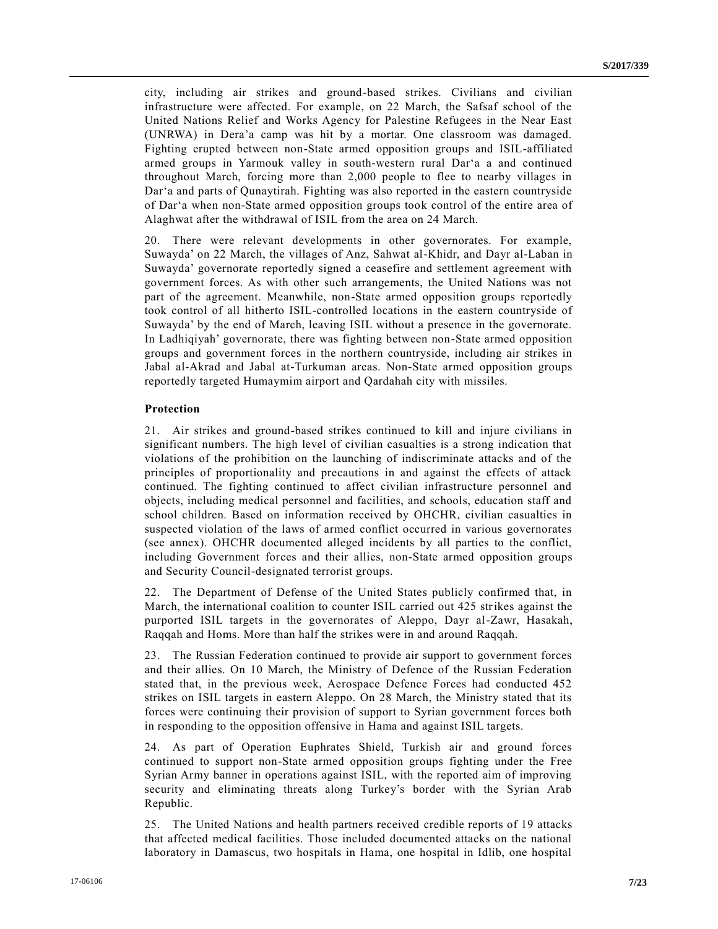city, including air strikes and ground-based strikes. Civilians and civilian infrastructure were affected. For example, on 22 March, the Safsaf school of the United Nations Relief and Works Agency for Palestine Refugees in the Near East (UNRWA) in Dera'a camp was hit by a mortar. One classroom was damaged. Fighting erupted between non-State armed opposition groups and ISIL-affiliated armed groups in Yarmouk valley in south-western rural Dar'a a and continued throughout March, forcing more than 2,000 people to flee to nearby villages in Dar'a and parts of Qunaytirah. Fighting was also reported in the eastern countryside of Dar'a when non-State armed opposition groups took control of the entire area of Alaghwat after the withdrawal of ISIL from the area on 24 March.

20. There were relevant developments in other governorates. For example, Suwayda' on 22 March, the villages of Anz, Sahwat al-Khidr, and Dayr al-Laban in Suwayda' governorate reportedly signed a ceasefire and settlement agreement with government forces. As with other such arrangements, the United Nations was not part of the agreement. Meanwhile, non-State armed opposition groups reportedly took control of all hitherto ISIL-controlled locations in the eastern countryside of Suwayda' by the end of March, leaving ISIL without a presence in the governorate. In Ladhiqiyah' governorate, there was fighting between non-State armed opposition groups and government forces in the northern countryside, including air strikes in Jabal al-Akrad and Jabal at-Turkuman areas. Non-State armed opposition groups reportedly targeted Humaymim airport and Qardahah city with missiles.

#### **Protection**

21. Air strikes and ground-based strikes continued to kill and injure civilians in significant numbers. The high level of civilian casualties is a strong indication that violations of the prohibition on the launching of indiscriminate attacks and of the principles of proportionality and precautions in and against the effects of attack continued. The fighting continued to affect civilian infrastructure personnel and objects, including medical personnel and facilities, and schools, education staff and school children. Based on information received by OHCHR, civilian casualties in suspected violation of the laws of armed conflict occurred in various governorates (see annex). OHCHR documented alleged incidents by all parties to the conflict, including Government forces and their allies, non-State armed opposition groups and Security Council-designated terrorist groups.

22. The Department of Defense of the United States publicly confirmed that, in March, the international coalition to counter ISIL carried out 425 strikes against the purported ISIL targets in the governorates of Aleppo, Dayr al-Zawr, Hasakah, Raqqah and Homs. More than half the strikes were in and around Raqqah.

23. The Russian Federation continued to provide air support to government forces and their allies. On 10 March, the Ministry of Defence of the Russian Federation stated that, in the previous week, Aerospace Defence Forces had conducted 452 strikes on ISIL targets in eastern Aleppo. On 28 March, the Ministry stated that its forces were continuing their provision of support to Syrian government forces both in responding to the opposition offensive in Hama and against ISIL targets.

24. As part of Operation Euphrates Shield, Turkish air and ground forces continued to support non-State armed opposition groups fighting under the Free Syrian Army banner in operations against ISIL, with the reported aim of improving security and eliminating threats along Turkey's border with the Syrian Arab Republic.

25. The United Nations and health partners received credible reports of 19 attacks that affected medical facilities. Those included documented attacks on the national laboratory in Damascus, two hospitals in Hama, one hospital in Idlib, one hospital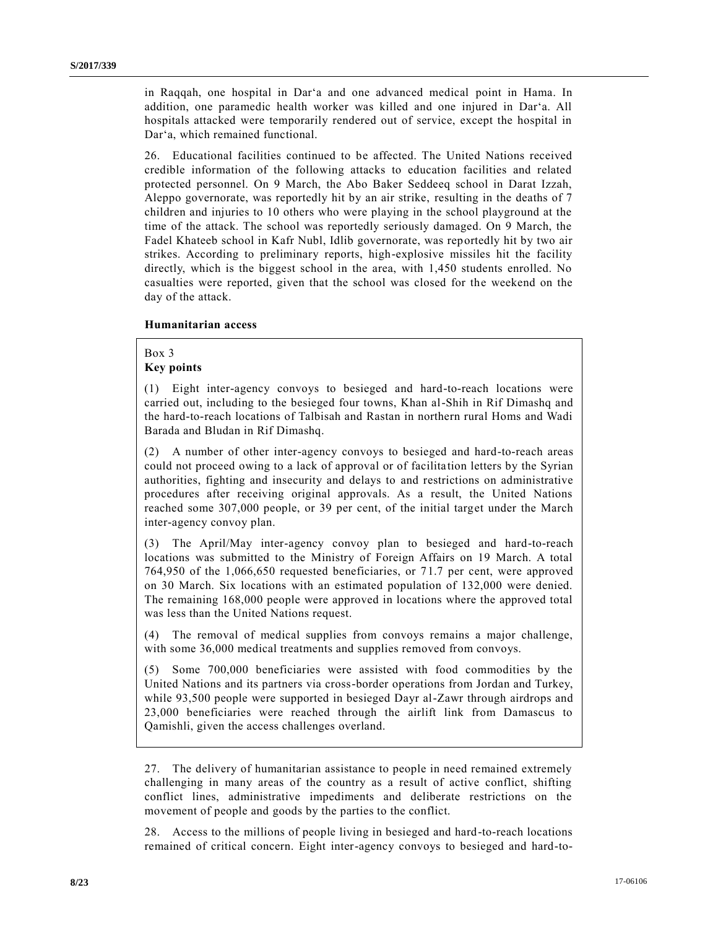in Raqqah, one hospital in Dar'a and one advanced medical point in Hama. In addition, one paramedic health worker was killed and one injured in Dar'a. All hospitals attacked were temporarily rendered out of service, except the hospital in Dar'a, which remained functional.

26. Educational facilities continued to be affected. The United Nations received credible information of the following attacks to education facilities and related protected personnel. On 9 March, the Abo Baker Seddeeq school in Darat Izzah, Aleppo governorate, was reportedly hit by an air strike, resulting in the deaths of 7 children and injuries to 10 others who were playing in the school playground at the time of the attack. The school was reportedly seriously damaged. On 9 March, the Fadel Khateeb school in Kafr Nubl, Idlib governorate, was reportedly hit by two air strikes. According to preliminary reports, high-explosive missiles hit the facility directly, which is the biggest school in the area, with 1,450 students enrolled. No casualties were reported, given that the school was closed for the weekend on the day of the attack.

#### **Humanitarian access**

Box 3

## **Key points**

(1) Eight inter-agency convoys to besieged and hard-to-reach locations were carried out, including to the besieged four towns, Khan al-Shih in Rif Dimashq and the hard-to-reach locations of Talbisah and Rastan in northern rural Homs and Wadi Barada and Bludan in Rif Dimashq.

(2) A number of other inter-agency convoys to besieged and hard-to-reach areas could not proceed owing to a lack of approval or of facilita tion letters by the Syrian authorities, fighting and insecurity and delays to and restrictions on administrative procedures after receiving original approvals. As a result, the United Nations reached some 307,000 people, or 39 per cent, of the initial target under the March inter-agency convoy plan.

(3) The April/May inter-agency convoy plan to besieged and hard-to-reach locations was submitted to the Ministry of Foreign Affairs on 19 March. A total 764,950 of the 1,066,650 requested beneficiaries, or 71.7 per cent, were approved on 30 March. Six locations with an estimated population of 132,000 were denied. The remaining 168,000 people were approved in locations where the approved total was less than the United Nations request.

(4) The removal of medical supplies from convoys remains a major challenge, with some 36,000 medical treatments and supplies removed from convoys.

(5) Some 700,000 beneficiaries were assisted with food commodities by the United Nations and its partners via cross-border operations from Jordan and Turkey, while 93,500 people were supported in besieged Dayr al-Zawr through airdrops and 23,000 beneficiaries were reached through the airlift link from Damascus to Qamishli, given the access challenges overland.

27. The delivery of humanitarian assistance to people in need remained extremely challenging in many areas of the country as a result of active conflict, shifting conflict lines, administrative impediments and deliberate restrictions on the movement of people and goods by the parties to the conflict.

28. Access to the millions of people living in besieged and hard-to-reach locations remained of critical concern. Eight inter-agency convoys to besieged and hard-to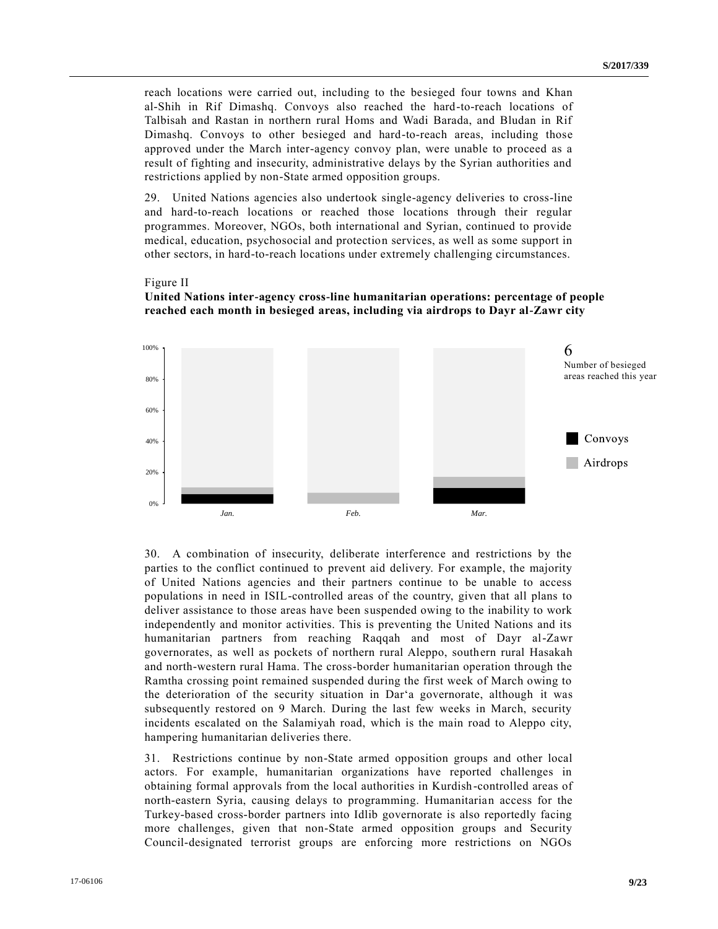reach locations were carried out, including to the besieged four towns and Khan al-Shih in Rif Dimashq. Convoys also reached the hard-to-reach locations of Talbisah and Rastan in northern rural Homs and Wadi Barada, and Bludan in Rif Dimashq. Convoys to other besieged and hard-to-reach areas, including those approved under the March inter-agency convoy plan, were unable to proceed as a result of fighting and insecurity, administrative delays by the Syrian authorities and restrictions applied by non-State armed opposition groups.

29. United Nations agencies also undertook single-agency deliveries to cross-line and hard-to-reach locations or reached those locations through their regular programmes. Moreover, NGOs, both international and Syrian, continued to provide medical, education, psychosocial and protection services, as well as some support in other sectors, in hard-to-reach locations under extremely challenging circumstances.

#### Figure II

## **United Nations inter-agency cross-line humanitarian operations: percentage of people reached each month in besieged areas, including via airdrops to Dayr al-Zawr city**



30. A combination of insecurity, deliberate interference and restrictions by the parties to the conflict continued to prevent aid delivery. For example, the majority of United Nations agencies and their partners continue to be unable to access populations in need in ISIL-controlled areas of the country, given that all plans to deliver assistance to those areas have been suspended owing to the inability to work independently and monitor activities. This is preventing the United Nations and its humanitarian partners from reaching Raqqah and most of Dayr al-Zawr governorates, as well as pockets of northern rural Aleppo, southern rural Hasakah and north-western rural Hama. The cross-border humanitarian operation through the Ramtha crossing point remained suspended during the first week of March owing to the deterioration of the security situation in Dar'a governorate, although it was subsequently restored on 9 March. During the last few weeks in March, security incidents escalated on the Salamiyah road, which is the main road to Aleppo city, hampering humanitarian deliveries there.

31. Restrictions continue by non-State armed opposition groups and other local actors. For example, humanitarian organizations have reported challenges in obtaining formal approvals from the local authorities in Kurdish-controlled areas of north-eastern Syria, causing delays to programming. Humanitarian access for the Turkey-based cross-border partners into Idlib governorate is also reportedly facing more challenges, given that non-State armed opposition groups and Security Council-designated terrorist groups are enforcing more restrictions on NGOs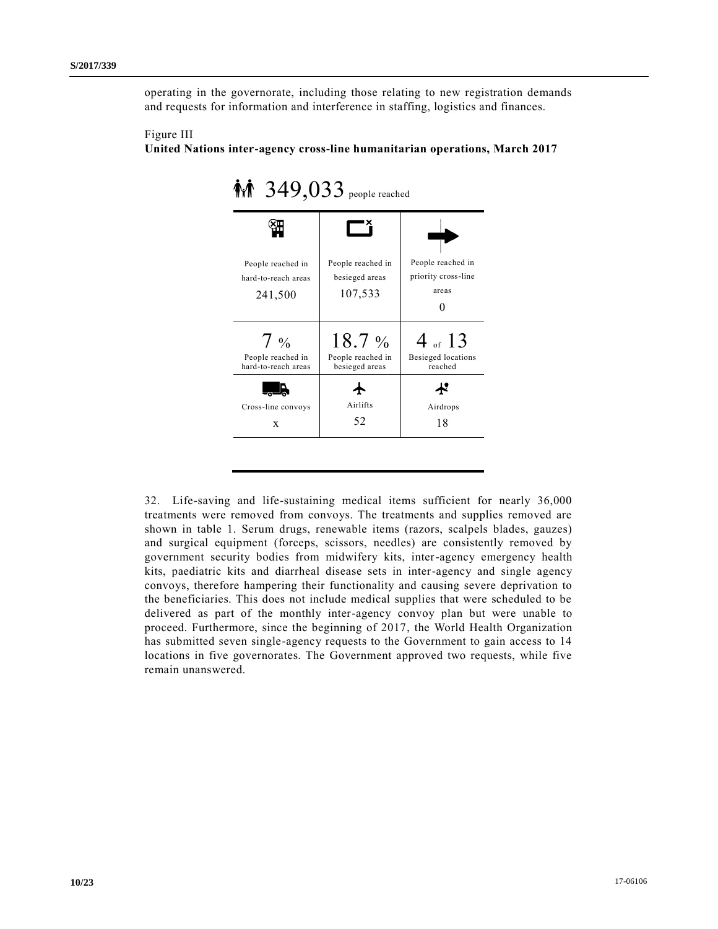operating in the governorate, including those relating to new registration demands and requests for information and interference in staffing, logistics and finances.



| $\mathbf{\hat{M}}$ 349,033 people reached |                   |                     |  |  |  |  |  |
|-------------------------------------------|-------------------|---------------------|--|--|--|--|--|
| People reached in                         | People reached in | People reached in   |  |  |  |  |  |
| hard-to-reach areas                       | besieged areas    | priority cross-line |  |  |  |  |  |
| 241,500                                   | 107,533           | areas               |  |  |  |  |  |
| $7\%$                                     | $18.7\%$          | 4 of 13             |  |  |  |  |  |
| People reached in                         | People reached in | Besieged locations  |  |  |  |  |  |
| hard-to-reach areas                       | besieged areas    | reached             |  |  |  |  |  |
| Cross-line convoys                        | Airlifts          | Airdrops            |  |  |  |  |  |
| X                                         | 52                | 18                  |  |  |  |  |  |

**10/23**<br>
Thus a model of the model of the space model of the space model of the space model of the space model of the space model of the space model of the space model of the space model of the space model of the space mod 32. Life-saving and life-sustaining medical items sufficient for nearly 36,000 treatments were removed from convoys. The treatments and supplies removed are shown in table 1. Serum drugs, renewable items (razors, scalpels blades, gauzes) and surgical equipment (forceps, scissors, needles) are consistently removed by government security bodies from midwifery kits, inter-agency emergency health kits, paediatric kits and diarrheal disease sets in inter-agency and single agency convoys, therefore hampering their functionality and causing severe deprivation to the beneficiaries. This does not include medical supplies that were scheduled to be delivered as part of the monthly inter-agency convoy plan but were unable to proceed. Furthermore, since the beginning of 2017, the World Health Organization has submitted seven single-agency requests to the Government to gain access to 14 locations in five governorates. The Government approved two requests, while five remain unanswered.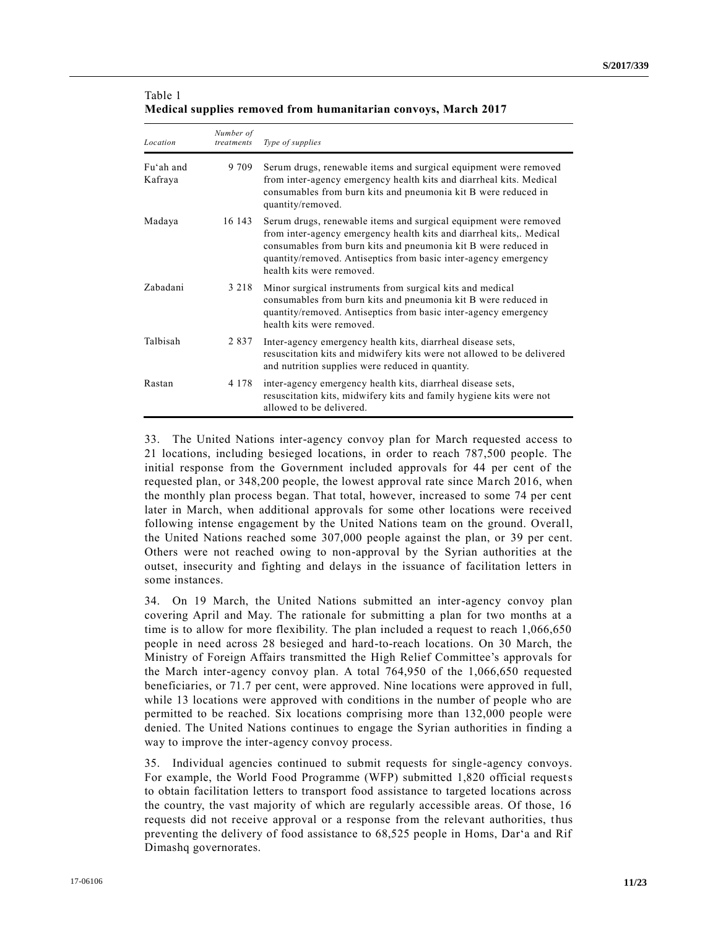| Table 1                                                        |  |
|----------------------------------------------------------------|--|
| Medical supplies removed from humanitarian convoys, March 2017 |  |

| Location             | Number of<br>treatments | Type of supplies                                                                                                                                                                                                                                                                                          |
|----------------------|-------------------------|-----------------------------------------------------------------------------------------------------------------------------------------------------------------------------------------------------------------------------------------------------------------------------------------------------------|
| Fu'ah and<br>Kafraya | 9 7 0 9                 | Serum drugs, renewable items and surgical equipment were removed<br>from inter-agency emergency health kits and diarrheal kits. Medical<br>consumables from burn kits and pneumonia kit B were reduced in<br>quantity/removed.                                                                            |
| Madaya               | 16 143                  | Serum drugs, renewable items and surgical equipment were removed<br>from inter-agency emergency health kits and diarrheal kits. Medical<br>consumables from burn kits and pneumonia kit B were reduced in<br>quantity/removed. Antiseptics from basic inter-agency emergency<br>health kits were removed. |
| Zabadani             | 3 2 1 8                 | Minor surgical instruments from surgical kits and medical<br>consumables from burn kits and pneumonia kit B were reduced in<br>quantity/removed. Antiseptics from basic inter-agency emergency<br>health kits were removed.                                                                               |
| Talbisah             | 2837                    | Inter-agency emergency health kits, diarrheal disease sets,<br>resuscitation kits and midwifery kits were not allowed to be delivered<br>and nutrition supplies were reduced in quantity.                                                                                                                 |
| Rastan               | 4 1 7 8                 | inter-agency emergency health kits, diarrheal disease sets,<br>resuscitation kits, midwifery kits and family hygiene kits were not<br>allowed to be delivered.                                                                                                                                            |

33. The United Nations inter-agency convoy plan for March requested access to 21 locations, including besieged locations, in order to reach 787,500 people. The initial response from the Government included approvals for 44 per cent of the requested plan, or 348,200 people, the lowest approval rate since March 2016, when the monthly plan process began. That total, however, increased to some 74 per cent later in March, when additional approvals for some other locations were received following intense engagement by the United Nations team on the ground. Overall, the United Nations reached some 307,000 people against the plan, or 39 per cent. Others were not reached owing to non-approval by the Syrian authorities at the outset, insecurity and fighting and delays in the issuance of facilitation letters in some instances.

34. On 19 March, the United Nations submitted an inter-agency convoy plan covering April and May. The rationale for submitting a plan for two months at a time is to allow for more flexibility. The plan included a request to reach 1,066,650 people in need across 28 besieged and hard-to-reach locations. On 30 March, the Ministry of Foreign Affairs transmitted the High Relief Committee's approvals for the March inter-agency convoy plan. A total 764,950 of the 1,066,650 requested beneficiaries, or 71.7 per cent, were approved. Nine locations were approved in full, while 13 locations were approved with conditions in the number of people who are permitted to be reached. Six locations comprising more than 132,000 people were denied. The United Nations continues to engage the Syrian authorities in finding a way to improve the inter-agency convoy process.

35. Individual agencies continued to submit requests for single-agency convoys. For example, the World Food Programme (WFP) submitted 1,820 official requests to obtain facilitation letters to transport food assistance to targeted locations across the country, the vast majority of which are regularly accessible areas. Of those, 16 requests did not receive approval or a response from the relevant authorities, thus preventing the delivery of food assistance to 68,525 people in Homs, Dar'a and Rif Dimashq governorates.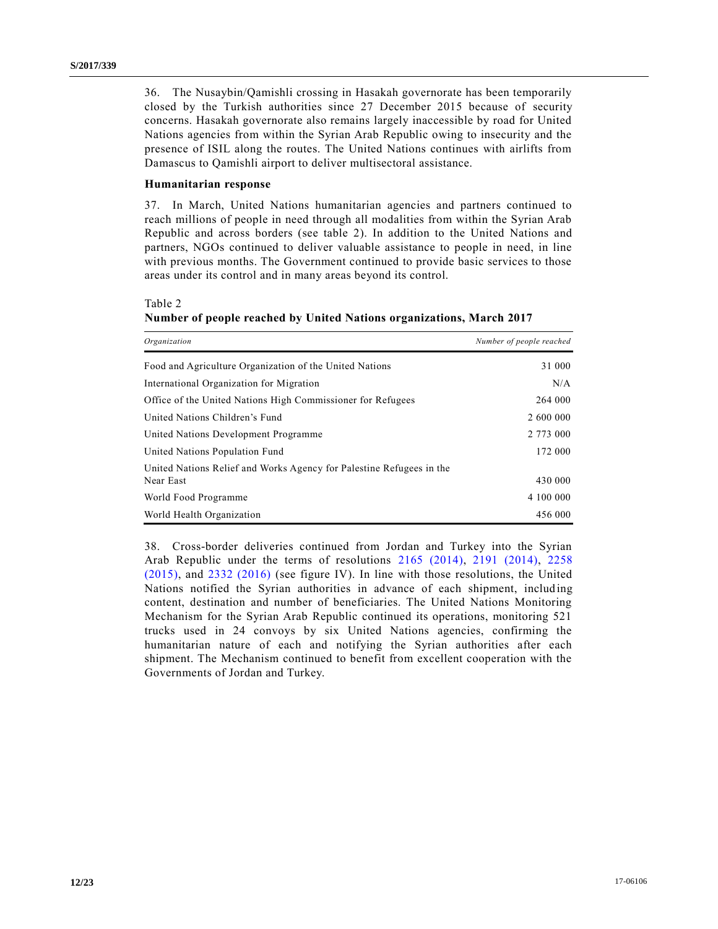36. The Nusaybin/Qamishli crossing in Hasakah governorate has been temporarily closed by the Turkish authorities since 27 December 2015 because of security concerns. Hasakah governorate also remains largely inaccessible by road for United Nations agencies from within the Syrian Arab Republic owing to insecurity and the presence of ISIL along the routes. The United Nations continues with airlifts from Damascus to Qamishli airport to deliver multisectoral assistance.

### **Humanitarian response**

37. In March, United Nations humanitarian agencies and partners continued to reach millions of people in need through all modalities from within the Syrian Arab Republic and across borders (see table 2). In addition to the United Nations and partners, NGOs continued to deliver valuable assistance to people in need, in line with previous months. The Government continued to provide basic services to those areas under its control and in many areas beyond its control.

Table 2

### **Number of people reached by United Nations organizations, March 2017**

| Organization                                                                      | Number of people reached |
|-----------------------------------------------------------------------------------|--------------------------|
| Food and Agriculture Organization of the United Nations                           | 31 000                   |
| International Organization for Migration                                          | N/A                      |
| Office of the United Nations High Commissioner for Refugees                       | 264 000                  |
| United Nations Children's Fund                                                    | 2 600 000                |
| United Nations Development Programme                                              | 2 773 000                |
| United Nations Population Fund                                                    | 172 000                  |
| United Nations Relief and Works Agency for Palestine Refugees in the<br>Near East | 430 000                  |
| World Food Programme                                                              | 4 100 000                |
| World Health Organization                                                         | 456 000                  |

38. Cross-border deliveries continued from Jordan and Turkey into the Syrian Arab Republic under the terms of resolutions [2165 \(2014\),](http://undocs.org/S/RES/2165(2014)) [2191 \(2014\),](http://undocs.org/S/RES/2191(2014)) [2258](http://undocs.org/S/RES/2258(2015))  [\(2015\),](http://undocs.org/S/RES/2258(2015)) and [2332 \(2016\)](http://undocs.org/S/RES/2332(2016)) (see figure IV). In line with those resolutions, the United Nations notified the Syrian authorities in advance of each shipment, including content, destination and number of beneficiaries. The United Nations Monitoring Mechanism for the Syrian Arab Republic continued its operations, monitoring 521 trucks used in 24 convoys by six United Nations agencies, confirming the humanitarian nature of each and notifying the Syrian authorities after each shipment. The Mechanism continued to benefit from excellent cooperation with the Governments of Jordan and Turkey.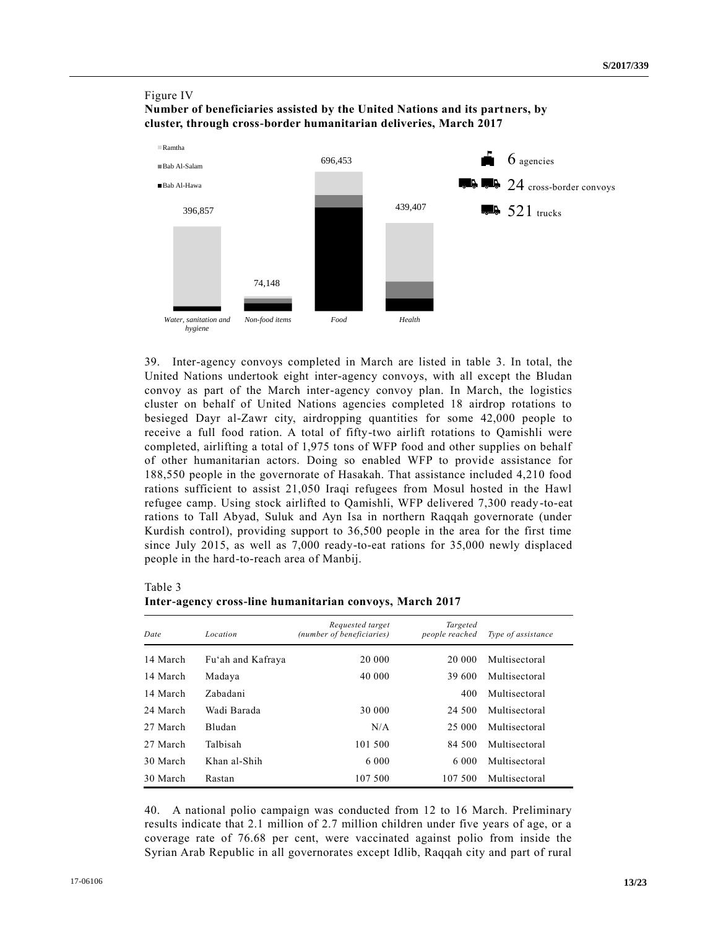## Figure IV **Number of beneficiaries assisted by the United Nations and its partners, by cluster, through cross-border humanitarian deliveries, March 2017**



39. Inter-agency convoys completed in March are listed in table 3. In total, the United Nations undertook eight inter-agency convoys, with all except the Bludan convoy as part of the March inter-agency convoy plan. In March, the logistics cluster on behalf of United Nations agencies completed 18 airdrop rotations to besieged Dayr al-Zawr city, airdropping quantities for some 42,000 people to receive a full food ration. A total of fifty-two airlift rotations to Qamishli were completed, airlifting a total of 1,975 tons of WFP food and other supplies on behalf of other humanitarian actors. Doing so enabled WFP to provide assistance for 188,550 people in the governorate of Hasakah. That assistance included 4,210 food rations sufficient to assist 21,050 Iraqi refugees from Mosul hosted in the Hawl refugee camp. Using stock airlifted to Qamishli, WFP delivered 7,300 ready-to-eat rations to Tall Abyad, Suluk and Ayn Isa in northern Raqqah governorate (under Kurdish control), providing support to 36,500 people in the area for the first time since July 2015, as well as 7,000 ready-to-eat rations for 35,000 newly displaced people in the hard-to-reach area of Manbij.

### Table 3

### **Inter-agency cross-line humanitarian convoys, March 2017**

| Date     | Location          | Requested target<br>(number of beneficiaries) | Targeted<br>people reached | Type of assistance |
|----------|-------------------|-----------------------------------------------|----------------------------|--------------------|
| 14 March | Fu'ah and Kafraya | 20 000                                        | 20 000                     | Multisectoral      |
| 14 March | Madaya            | 40 000                                        | 39 600                     | Multisectoral      |
| 14 March | Zabadani          |                                               | 400                        | Multisectoral      |
| 24 March | Wadi Barada       | 30 000                                        | 24 500                     | Multisectoral      |
| 27 March | Bludan            | N/A                                           | 25 000                     | Multisectoral      |
| 27 March | Talbisah          | 101 500                                       | 84 500                     | Multisectoral      |
| 30 March | Khan al-Shih      | 6 0 0 0                                       | 6 000                      | Multisectoral      |
| 30 March | Rastan            | 107 500                                       | 107 500                    | Multisectoral      |

40. A national polio campaign was conducted from 12 to 16 March. Preliminary results indicate that 2.1 million of 2.7 million children under five years of age, or a coverage rate of 76.68 per cent, were vaccinated against polio from inside the Syrian Arab Republic in all governorates except Idlib, Raqqah city and part of rural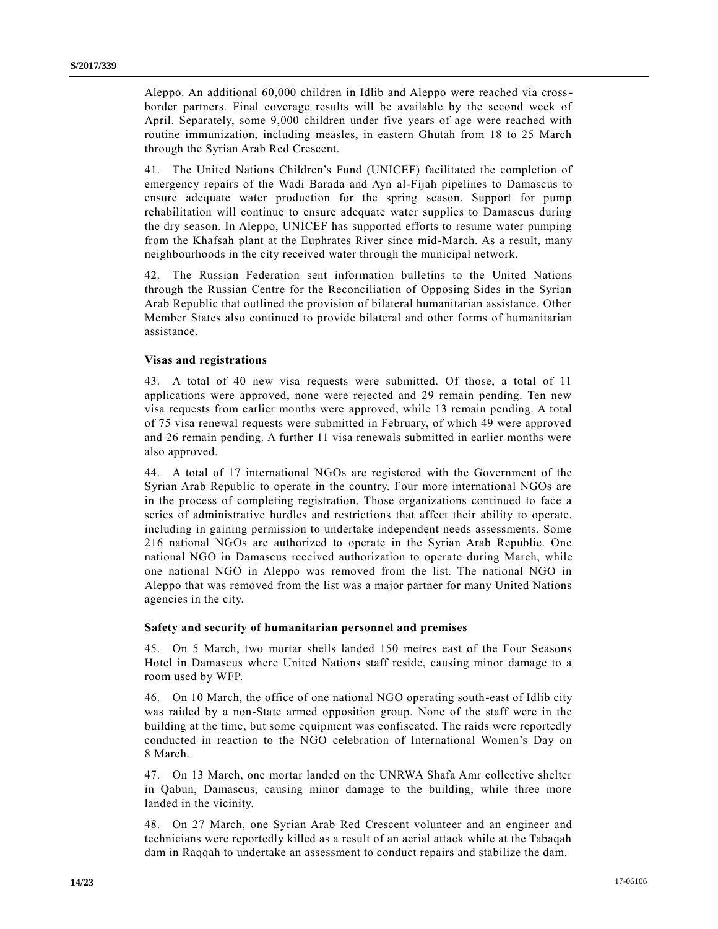Aleppo. An additional 60,000 children in Idlib and Aleppo were reached via crossborder partners. Final coverage results will be available by the second week of April. Separately, some 9,000 children under five years of age were reached with routine immunization, including measles, in eastern Ghutah from 18 to 25 March through the Syrian Arab Red Crescent.

41. The United Nations Children's Fund (UNICEF) facilitated the completion of emergency repairs of the Wadi Barada and Ayn al-Fijah pipelines to Damascus to ensure adequate water production for the spring season. Support for pump rehabilitation will continue to ensure adequate water supplies to Damascus during the dry season. In Aleppo, UNICEF has supported efforts to resume water pumping from the Khafsah plant at the Euphrates River since mid-March. As a result, many neighbourhoods in the city received water through the municipal network.

42. The Russian Federation sent information bulletins to the United Nations through the Russian Centre for the Reconciliation of Opposing Sides in the Syrian Arab Republic that outlined the provision of bilateral humanitarian assistance. Other Member States also continued to provide bilateral and other forms of humanitarian assistance.

## **Visas and registrations**

43. A total of 40 new visa requests were submitted. Of those, a total of 11 applications were approved, none were rejected and 29 remain pending. Ten new visa requests from earlier months were approved, while 13 remain pending. A total of 75 visa renewal requests were submitted in February, of which 49 were approved and 26 remain pending. A further 11 visa renewals submitted in earlier months were also approved.

44. A total of 17 international NGOs are registered with the Government of the Syrian Arab Republic to operate in the country. Four more international NGOs are in the process of completing registration. Those organizations continued to face a series of administrative hurdles and restrictions that affect their ability to operate, including in gaining permission to undertake independent needs assessments. Some 216 national NGOs are authorized to operate in the Syrian Arab Republic. One national NGO in Damascus received authorization to operate during March, while one national NGO in Aleppo was removed from the list. The national NGO in Aleppo that was removed from the list was a major partner for many United Nations agencies in the city.

#### **Safety and security of humanitarian personnel and premises**

45. On 5 March, two mortar shells landed 150 metres east of the Four Seasons Hotel in Damascus where United Nations staff reside, causing minor damage to a room used by WFP.

46. On 10 March, the office of one national NGO operating south-east of Idlib city was raided by a non-State armed opposition group. None of the staff were in the building at the time, but some equipment was confiscated. The raids were reportedly conducted in reaction to the NGO celebration of International Women's Day on 8 March.

47. On 13 March, one mortar landed on the UNRWA Shafa Amr collective shelter in Qabun, Damascus, causing minor damage to the building, while three more landed in the vicinity.

48. On 27 March, one Syrian Arab Red Crescent volunteer and an engineer and technicians were reportedly killed as a result of an aerial attack while at the Tabaqah dam in Raqqah to undertake an assessment to conduct repairs and stabilize the dam.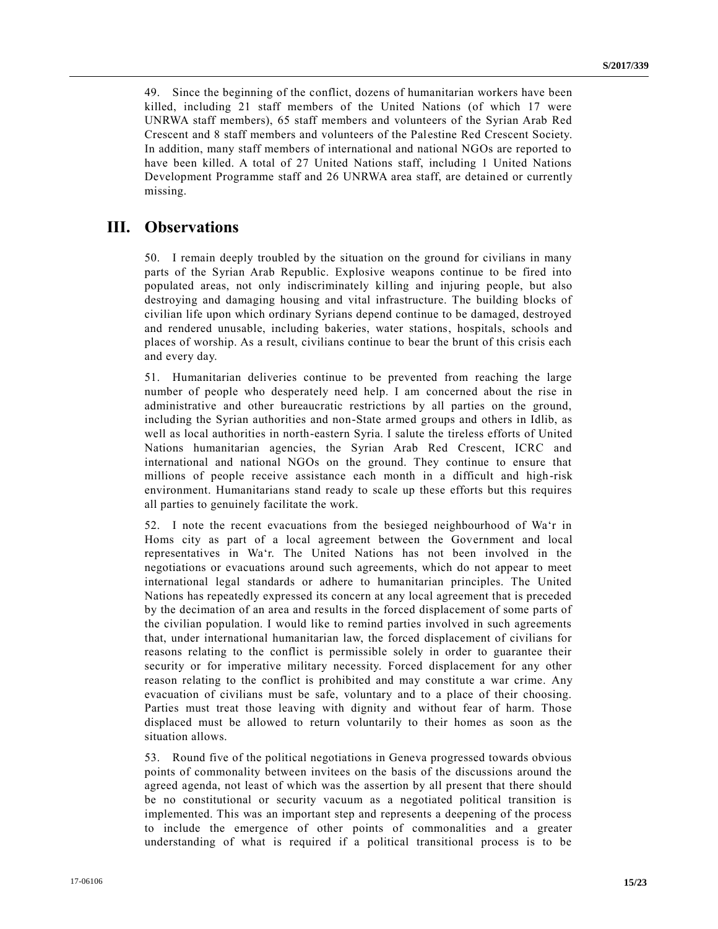49. Since the beginning of the conflict, dozens of humanitarian workers have been killed, including 21 staff members of the United Nations (of which 17 were UNRWA staff members), 65 staff members and volunteers of the Syrian Arab Red Crescent and 8 staff members and volunteers of the Palestine Red Crescent Society. In addition, many staff members of international and national NGOs are reported to have been killed. A total of 27 United Nations staff, including 1 United Nations Development Programme staff and 26 UNRWA area staff, are detained or currently missing.

## **III. Observations**

50. I remain deeply troubled by the situation on the ground for civilians in many parts of the Syrian Arab Republic. Explosive weapons continue to be fired into populated areas, not only indiscriminately killing and injuring people, but also destroying and damaging housing and vital infrastructure. The building blocks of civilian life upon which ordinary Syrians depend continue to be damaged, destroyed and rendered unusable, including bakeries, water stations, hospitals, schools and places of worship. As a result, civilians continue to bear the brunt of this crisis each and every day.

51. Humanitarian deliveries continue to be prevented from reaching the large number of people who desperately need help. I am concerned about the rise in administrative and other bureaucratic restrictions by all parties on the ground, including the Syrian authorities and non-State armed groups and others in Idlib, as well as local authorities in north-eastern Syria. I salute the tireless efforts of United Nations humanitarian agencies, the Syrian Arab Red Crescent, ICRC and international and national NGOs on the ground. They continue to ensure that millions of people receive assistance each month in a difficult and high-risk environment. Humanitarians stand ready to scale up these efforts but this requires all parties to genuinely facilitate the work.

52. I note the recent evacuations from the besieged neighbourhood of Wa'r in Homs city as part of a local agreement between the Government and local representatives in Wa'r. The United Nations has not been involved in the negotiations or evacuations around such agreements, which do not appear to meet international legal standards or adhere to humanitarian principles. The United Nations has repeatedly expressed its concern at any local agreement that is preceded by the decimation of an area and results in the forced displacement of some parts of the civilian population. I would like to remind parties involved in such agreements that, under international humanitarian law, the forced displacement of civilians for reasons relating to the conflict is permissible solely in order to guarantee their security or for imperative military necessity. Forced displacement for any other reason relating to the conflict is prohibited and may constitute a war crime. Any evacuation of civilians must be safe, voluntary and to a place of their choosing. Parties must treat those leaving with dignity and without fear of harm. Those displaced must be allowed to return voluntarily to their homes as soon as the situation allows.

53. Round five of the political negotiations in Geneva progressed towards obvious points of commonality between invitees on the basis of the discussions around the agreed agenda, not least of which was the assertion by all present that there should be no constitutional or security vacuum as a negotiated political transition is implemented. This was an important step and represents a deepening of the process to include the emergence of other points of commonalities and a greater understanding of what is required if a political transitional process is to be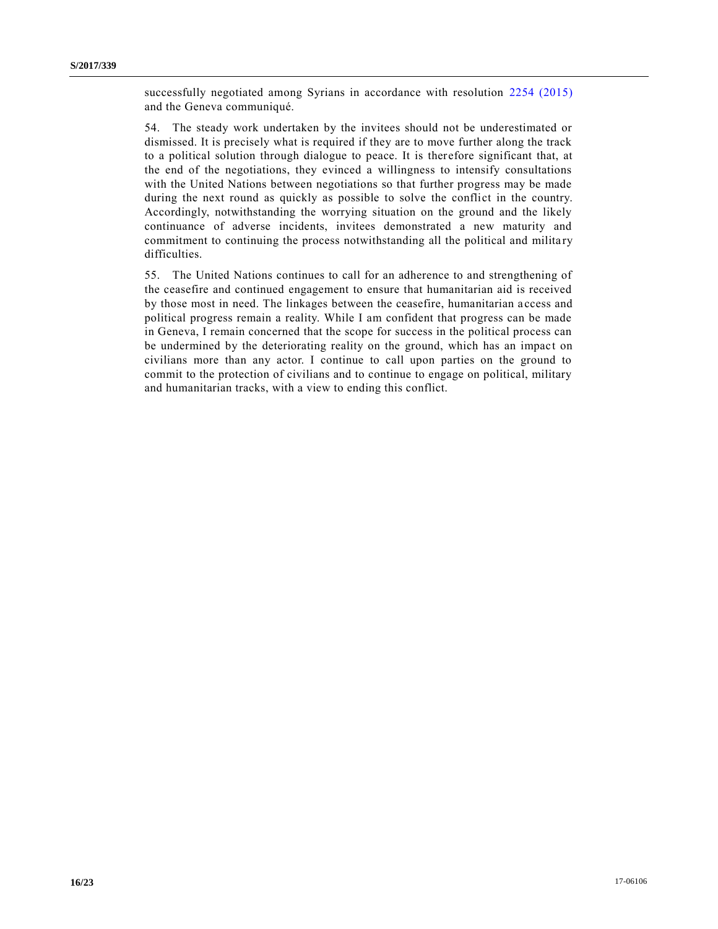successfully negotiated among Syrians in accordance with resolution [2254 \(2015\)](http://undocs.org/S/RES/2254(2015)) and the Geneva communiqué.

54. The steady work undertaken by the invitees should not be underestimated or dismissed. It is precisely what is required if they are to move further along the track to a political solution through dialogue to peace. It is therefore significant that, at the end of the negotiations, they evinced a willingness to intensify consultations with the United Nations between negotiations so that further progress may be made during the next round as quickly as possible to solve the conflict in the country. Accordingly, notwithstanding the worrying situation on the ground and the likely continuance of adverse incidents, invitees demonstrated a new maturity and commitment to continuing the process notwithstanding all the political and milita ry difficulties.

55. The United Nations continues to call for an adherence to and strengthening of the ceasefire and continued engagement to ensure that humanitarian aid is received by those most in need. The linkages between the ceasefire, humanitarian a ccess and political progress remain a reality. While I am confident that progress can be made in Geneva, I remain concerned that the scope for success in the political process can be undermined by the deteriorating reality on the ground, which has an impact on civilians more than any actor. I continue to call upon parties on the ground to commit to the protection of civilians and to continue to engage on political, military and humanitarian tracks, with a view to ending this conflict.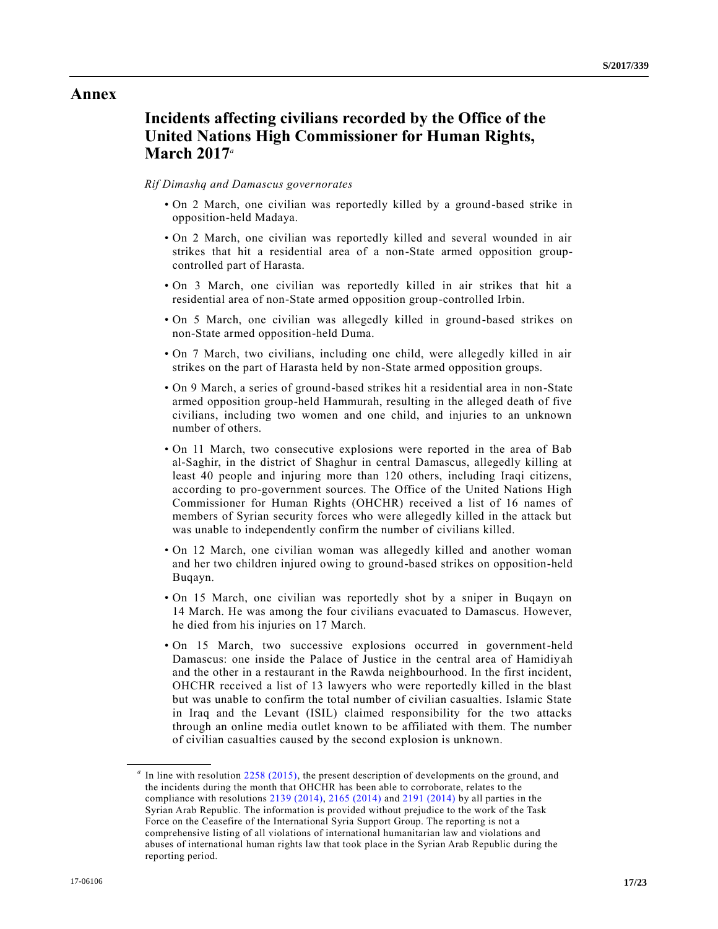## **Annex**

## **Incidents affecting civilians recorded by the Office of the United Nations High Commissioner for Human Rights, March 2017***<sup>a</sup>*

#### *Rif Dimashq and Damascus governorates*

- On 2 March, one civilian was reportedly killed by a ground-based strike in opposition-held Madaya.
- On 2 March, one civilian was reportedly killed and several wounded in air strikes that hit a residential area of a non-State armed opposition groupcontrolled part of Harasta.
- On 3 March, one civilian was reportedly killed in air strikes that hit a residential area of non-State armed opposition group-controlled Irbin.
- On 5 March, one civilian was allegedly killed in ground-based strikes on non-State armed opposition-held Duma.
- On 7 March, two civilians, including one child, were allegedly killed in air strikes on the part of Harasta held by non-State armed opposition groups.
- On 9 March, a series of ground-based strikes hit a residential area in non-State armed opposition group-held Hammurah, resulting in the alleged death of five civilians, including two women and one child, and injuries to an unknown number of others.
- On 11 March, two consecutive explosions were reported in the area of Bab al-Saghir, in the district of Shaghur in central Damascus, allegedly killing at least 40 people and injuring more than 120 others, including Iraqi citizens, according to pro-government sources. The Office of the United Nations High Commissioner for Human Rights (OHCHR) received a list of 16 names of members of Syrian security forces who were allegedly killed in the attack but was unable to independently confirm the number of civilians killed.
- On 12 March, one civilian woman was allegedly killed and another woman and her two children injured owing to ground-based strikes on opposition-held Buqayn.
- On 15 March, one civilian was reportedly shot by a sniper in Buqayn on 14 March. He was among the four civilians evacuated to Damascus. However, he died from his injuries on 17 March.
- On 15 March, two successive explosions occurred in government-held Damascus: one inside the Palace of Justice in the central area of Hamidiyah and the other in a restaurant in the Rawda neighbourhood. In the first incident, OHCHR received a list of 13 lawyers who were reportedly killed in the blast but was unable to confirm the total number of civilian casualties. Islamic State in Iraq and the Levant (ISIL) claimed responsibility for the two attacks through an online media outlet known to be affiliated with them. The number of civilian casualties caused by the second explosion is unknown.

<sup>&</sup>lt;sup>a</sup> In line with resolution [2258 \(2015\),](http://undocs.org/S/RES/2258(2015)) the present description of developments on the ground, and the incidents during the month that OHCHR has been able to corroborate, relates to the compliance with resolutions [2139 \(2014\),](http://undocs.org/S/RES/2139(2014)) [2165 \(2014\)](http://undocs.org/S/RES/2165(2014)) and [2191 \(2014\)](http://undocs.org/S/RES/2191(2014)) by all parties in the Syrian Arab Republic. The information is provided without prejudice to the work of the Task Force on the Ceasefire of the International Syria Support Group. The reporting is not a comprehensive listing of all violations of international humanitarian law and violations and abuses of international human rights law that took place in the Syrian Arab Republic during the reporting period.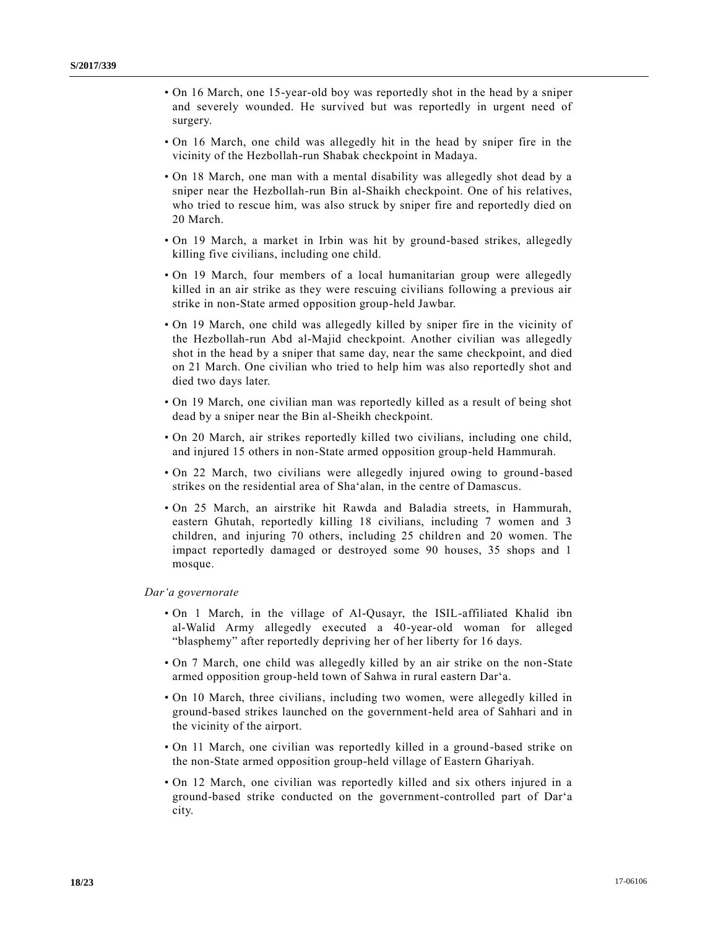- On 16 March, one 15-year-old boy was reportedly shot in the head by a sniper and severely wounded. He survived but was reportedly in urgent need of surgery.
- On 16 March, one child was allegedly hit in the head by sniper fire in the vicinity of the Hezbollah-run Shabak checkpoint in Madaya.
- On 18 March, one man with a mental disability was allegedly shot dead by a sniper near the Hezbollah-run Bin al-Shaikh checkpoint. One of his relatives, who tried to rescue him, was also struck by sniper fire and reportedly died on 20 March.
- On 19 March, a market in Irbin was hit by ground-based strikes, allegedly killing five civilians, including one child.
- On 19 March, four members of a local humanitarian group were allegedly killed in an air strike as they were rescuing civilians following a previous air strike in non-State armed opposition group-held Jawbar.
- On 19 March, one child was allegedly killed by sniper fire in the vicinity of the Hezbollah-run Abd al-Majid checkpoint. Another civilian was allegedly shot in the head by a sniper that same day, near the same checkpoint, and died on 21 March. One civilian who tried to help him was also reportedly shot and died two days later.
- On 19 March, one civilian man was reportedly killed as a result of being shot dead by a sniper near the Bin al-Sheikh checkpoint.
- On 20 March, air strikes reportedly killed two civilians, including one child, and injured 15 others in non-State armed opposition group-held Hammurah.
- On 22 March, two civilians were allegedly injured owing to ground-based strikes on the residential area of Sha'alan, in the centre of Damascus.
- On 25 March, an airstrike hit Rawda and Baladia streets, in Hammurah, eastern Ghutah, reportedly killing 18 civilians, including 7 women and 3 children, and injuring 70 others, including 25 children and 20 women. The impact reportedly damaged or destroyed some 90 houses, 35 shops and 1 mosque.

#### *Dar'a governorate*

- On 1 March, in the village of Al-Qusayr, the ISIL-affiliated Khalid ibn al-Walid Army allegedly executed a 40-year-old woman for alleged "blasphemy" after reportedly depriving her of her liberty for 16 days.
- On 7 March, one child was allegedly killed by an air strike on the non-State armed opposition group-held town of Sahwa in rural eastern Dar'a.
- On 10 March, three civilians, including two women, were allegedly killed in ground-based strikes launched on the government-held area of Sahhari and in the vicinity of the airport.
- On 11 March, one civilian was reportedly killed in a ground-based strike on the non-State armed opposition group-held village of Eastern Ghariyah.
- On 12 March, one civilian was reportedly killed and six others injured in a ground-based strike conducted on the government-controlled part of Dar'a city.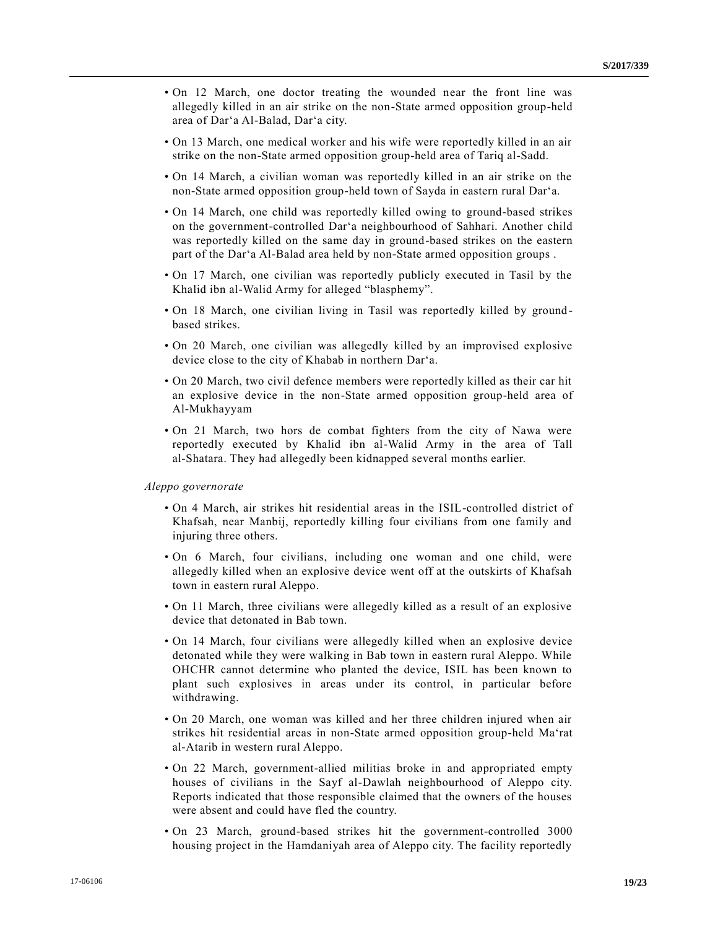- On 12 March, one doctor treating the wounded near the front line was allegedly killed in an air strike on the non-State armed opposition group-held area of Dar'a Al-Balad, Dar'a city.
- On 13 March, one medical worker and his wife were reportedly killed in an air strike on the non-State armed opposition group-held area of Tariq al-Sadd.
- On 14 March, a civilian woman was reportedly killed in an air strike on the non-State armed opposition group-held town of Sayda in eastern rural Dar'a.
- On 14 March, one child was reportedly killed owing to ground-based strikes on the government-controlled Dar'a neighbourhood of Sahhari. Another child was reportedly killed on the same day in ground-based strikes on the eastern part of the Dar'a Al-Balad area held by non-State armed opposition groups .
- On 17 March, one civilian was reportedly publicly executed in Tasil by the Khalid ibn al-Walid Army for alleged "blasphemy".
- On 18 March, one civilian living in Tasil was reportedly killed by ground based strikes.
- On 20 March, one civilian was allegedly killed by an improvised explosive device close to the city of Khabab in northern Dar'a.
- On 20 March, two civil defence members were reportedly killed as their car hit an explosive device in the non-State armed opposition group-held area of Al-Mukhayyam
- On 21 March, two hors de combat fighters from the city of Nawa were reportedly executed by Khalid ibn al-Walid Army in the area of Tall al-Shatara. They had allegedly been kidnapped several months earlier.

#### *Aleppo governorate*

- On 4 March, air strikes hit residential areas in the ISIL-controlled district of Khafsah, near Manbij, reportedly killing four civilians from one family and injuring three others.
- On 6 March, four civilians, including one woman and one child, were allegedly killed when an explosive device went off at the outskirts of Khafsah town in eastern rural Aleppo.
- On 11 March, three civilians were allegedly killed as a result of an explosive device that detonated in Bab town.
- On 14 March, four civilians were allegedly killed when an explosive device detonated while they were walking in Bab town in eastern rural Aleppo. While OHCHR cannot determine who planted the device, ISIL has been known to plant such explosives in areas under its control, in particular before withdrawing.
- On 20 March, one woman was killed and her three children injured when air strikes hit residential areas in non-State armed opposition group-held Ma'rat al-Atarib in western rural Aleppo.
- On 22 March, government-allied militias broke in and appropriated empty houses of civilians in the Sayf al-Dawlah neighbourhood of Aleppo city. Reports indicated that those responsible claimed that the owners of the houses were absent and could have fled the country.
- On 23 March, ground-based strikes hit the government-controlled 3000 housing project in the Hamdaniyah area of Aleppo city. The facility reportedly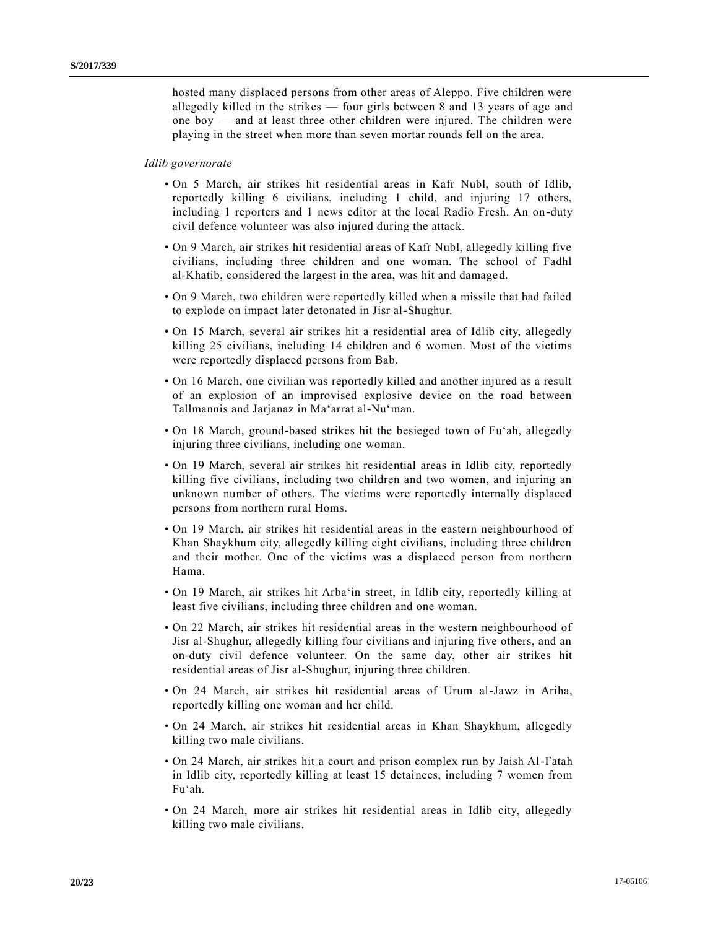hosted many displaced persons from other areas of Aleppo. Five children were allegedly killed in the strikes — four girls between 8 and 13 years of age and one boy — and at least three other children were injured. The children were playing in the street when more than seven mortar rounds fell on the area.

### *Idlib governorate*

- On 5 March, air strikes hit residential areas in Kafr Nubl, south of Idlib, reportedly killing 6 civilians, including 1 child, and injuring 17 others, including 1 reporters and 1 news editor at the local Radio Fresh. An on-duty civil defence volunteer was also injured during the attack.
- On 9 March, air strikes hit residential areas of Kafr Nubl, allegedly killing five civilians, including three children and one woman. The school of Fadhl al-Khatib, considered the largest in the area, was hit and damaged.
- On 9 March, two children were reportedly killed when a missile that had failed to explode on impact later detonated in Jisr al-Shughur.
- On 15 March, several air strikes hit a residential area of Idlib city, allegedly killing 25 civilians, including 14 children and 6 women. Most of the victims were reportedly displaced persons from Bab.
- On 16 March, one civilian was reportedly killed and another injured as a result of an explosion of an improvised explosive device on the road between Tallmannis and Jarjanaz in Ma'arrat al-Nu'man.
- On 18 March, ground-based strikes hit the besieged town of Fu'ah, allegedly injuring three civilians, including one woman.
- On 19 March, several air strikes hit residential areas in Idlib city, reportedly killing five civilians, including two children and two women, and injuring an unknown number of others. The victims were reportedly internally displaced persons from northern rural Homs.
- On 19 March, air strikes hit residential areas in the eastern neighbour hood of Khan Shaykhum city, allegedly killing eight civilians, including three children and their mother. One of the victims was a displaced person from northern Hama.
- On 19 March, air strikes hit Arba'in street, in Idlib city, reportedly killing at least five civilians, including three children and one woman.
- On 22 March, air strikes hit residential areas in the western neighbourhood of Jisr al-Shughur, allegedly killing four civilians and injuring five others, and an on-duty civil defence volunteer. On the same day, other air strikes hit residential areas of Jisr al-Shughur, injuring three children.
- On 24 March, air strikes hit residential areas of Urum al-Jawz in Ariha, reportedly killing one woman and her child.
- On 24 March, air strikes hit residential areas in Khan Shaykhum, allegedly killing two male civilians.
- On 24 March, air strikes hit a court and prison complex run by Jaish Al-Fatah in Idlib city, reportedly killing at least 15 detainees, including 7 women from Fu'ah.
- On 24 March, more air strikes hit residential areas in Idlib city, allegedly killing two male civilians.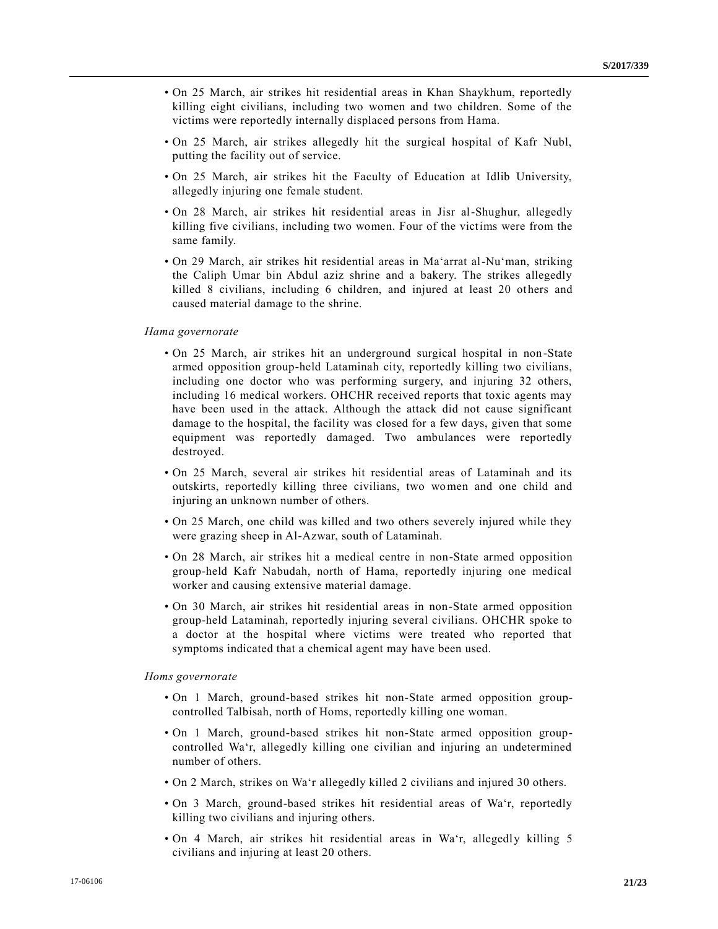- On 25 March, air strikes hit residential areas in Khan Shaykhum, reportedly killing eight civilians, including two women and two children. Some of the victims were reportedly internally displaced persons from Hama.
- On 25 March, air strikes allegedly hit the surgical hospital of Kafr Nubl, putting the facility out of service.
- On 25 March, air strikes hit the Faculty of Education at Idlib University, allegedly injuring one female student.
- On 28 March, air strikes hit residential areas in Jisr al-Shughur, allegedly killing five civilians, including two women. Four of the victims were from the same family.
- On 29 March, air strikes hit residential areas in Ma'arrat al-Nu'man, striking the Caliph Umar bin Abdul aziz shrine and a bakery. The strikes allegedly killed 8 civilians, including 6 children, and injured at least 20 others and caused material damage to the shrine.

#### *Hama governorate*

- On 25 March, air strikes hit an underground surgical hospital in non-State armed opposition group-held Lataminah city, reportedly killing two civilians, including one doctor who was performing surgery, and injuring 32 others, including 16 medical workers. OHCHR received reports that toxic agents may have been used in the attack. Although the attack did not cause significant damage to the hospital, the facility was closed for a few days, given that some equipment was reportedly damaged. Two ambulances were reportedly destroyed.
- On 25 March, several air strikes hit residential areas of Lataminah and its outskirts, reportedly killing three civilians, two women and one child and injuring an unknown number of others.
- On 25 March, one child was killed and two others severely injured while they were grazing sheep in Al-Azwar, south of Lataminah.
- On 28 March, air strikes hit a medical centre in non-State armed opposition group-held Kafr Nabudah, north of Hama, reportedly injuring one medical worker and causing extensive material damage.
- On 30 March, air strikes hit residential areas in non-State armed opposition group-held Lataminah, reportedly injuring several civilians. OHCHR spoke to a doctor at the hospital where victims were treated who reported that symptoms indicated that a chemical agent may have been used.

#### *Homs governorate*

- On 1 March, ground-based strikes hit non-State armed opposition groupcontrolled Talbisah, north of Homs, reportedly killing one woman.
- On 1 March, ground-based strikes hit non-State armed opposition groupcontrolled Wa'r, allegedly killing one civilian and injuring an undetermined number of others.
- On 2 March, strikes on Wa'r allegedly killed 2 civilians and injured 30 others.
- On 3 March, ground-based strikes hit residential areas of Wa'r, reportedly killing two civilians and injuring others.
- On 4 March, air strikes hit residential areas in Wa'r, allegedly killing 5 civilians and injuring at least 20 others.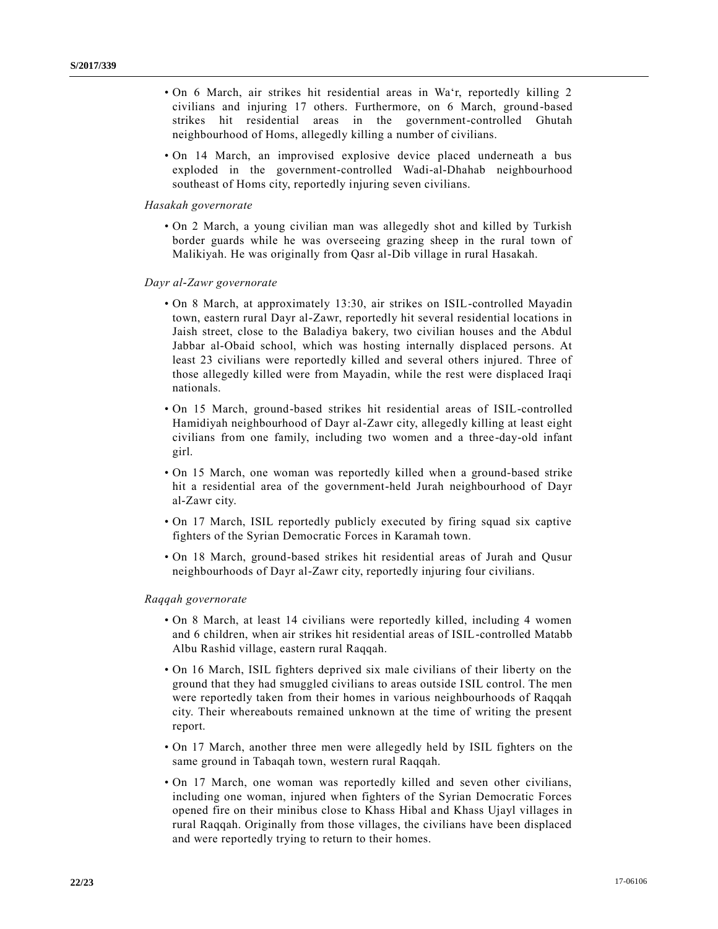- On 6 March, air strikes hit residential areas in Wa'r, reportedly killing 2 civilians and injuring 17 others. Furthermore, on 6 March, ground-based strikes hit residential areas in the government-controlled Ghutah neighbourhood of Homs, allegedly killing a number of civilians.
- On 14 March, an improvised explosive device placed underneath a bus exploded in the government-controlled Wadi-al-Dhahab neighbourhood southeast of Homs city, reportedly injuring seven civilians.

#### *Hasakah governorate*

• On 2 March, a young civilian man was allegedly shot and killed by Turkish border guards while he was overseeing grazing sheep in the rural town of Malikiyah. He was originally from Qasr al-Dib village in rural Hasakah.

#### *Dayr al-Zawr governorate*

- On 8 March, at approximately 13:30, air strikes on ISIL-controlled Mayadin town, eastern rural Dayr al-Zawr, reportedly hit several residential locations in Jaish street, close to the Baladiya bakery, two civilian houses and the Abdul Jabbar al-Obaid school, which was hosting internally displaced persons. At least 23 civilians were reportedly killed and several others injured. Three of those allegedly killed were from Mayadin, while the rest were displaced Iraqi nationals.
- On 15 March, ground-based strikes hit residential areas of ISIL-controlled Hamidiyah neighbourhood of Dayr al-Zawr city, allegedly killing at least eight civilians from one family, including two women and a three-day-old infant girl.
- On 15 March, one woman was reportedly killed when a ground-based strike hit a residential area of the government-held Jurah neighbourhood of Dayr al-Zawr city.
- On 17 March, ISIL reportedly publicly executed by firing squad six captive fighters of the Syrian Democratic Forces in Karamah town.
- On 18 March, ground-based strikes hit residential areas of Jurah and Qusur neighbourhoods of Dayr al-Zawr city, reportedly injuring four civilians.

#### *Raqqah governorate*

- On 8 March, at least 14 civilians were reportedly killed, including 4 women and 6 children, when air strikes hit residential areas of ISIL-controlled Matabb Albu Rashid village, eastern rural Raqqah.
- On 16 March, ISIL fighters deprived six male civilians of their liberty on the ground that they had smuggled civilians to areas outside ISIL control. The men were reportedly taken from their homes in various neighbourhoods of Raqqah city. Their whereabouts remained unknown at the time of writing the present report.
- On 17 March, another three men were allegedly held by ISIL fighters on the same ground in Tabaqah town, western rural Raqqah.
- On 17 March, one woman was reportedly killed and seven other civilians, including one woman, injured when fighters of the Syrian Democratic Forces opened fire on their minibus close to Khass Hibal and Khass Ujayl villages in rural Raqqah. Originally from those villages, the civilians have been displaced and were reportedly trying to return to their homes.